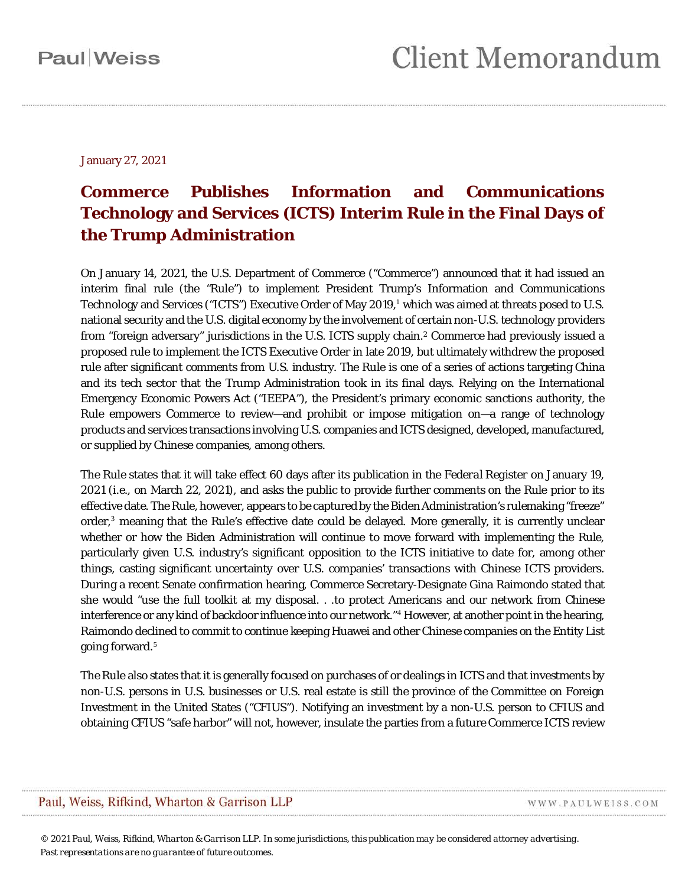January 27, 2021

### **Commerce Publishes Information and Communications Technology and Services (ICTS) Interim Rule in the Final Days of the Trump Administration**

On January 14, 2021, the U.S. Department of Commerce ("Commerce") announced that it had issued an interim final rule (the "Rule") to implement President Trump's Information and Communications Technology and Services ("ICTS") Executive Order of May 2019, [1](#page-9-0) which was aimed at threats posed to U.S. national security and the U.S. digital economy by the involvement of certain non-U.S. technology providers from "foreign adversary" jurisdictions in the U.S. ICTS supply chain[.2](#page-9-1) Commerce had previously issued a proposed rule to implement the ICTS Executive Order in late 2019, but ultimately withdrew the proposed rule after significant comments from U.S. industry. The Rule is one of a series of actions targeting China and its tech sector that the Trump Administration took in its final days. Relying on the International Emergency Economic Powers Act ("IEEPA"), the President's primary economic sanctions authority, the Rule empowers Commerce to review—and prohibit or impose mitigation on—a range of technology products and services transactions involving U.S. companies and ICTS designed, developed, manufactured, or supplied by Chinese companies, among others.

The Rule states that it will take effect 60 days after its publication in the *Federal Register* on January 19, 2021 (*i.e.*, on March 22, 2021), and asks the public to provide further comments on the Rule prior to its effective date. The Rule, however, appears to be captured by the Biden Administration's rulemaking "freeze" order,<sup>[3](#page-9-2)</sup> meaning that the Rule's effective date could be delayed. More generally, it is currently unclear whether or how the Biden Administration will continue to move forward with implementing the Rule, particularly given U.S. industry's significant opposition to the ICTS initiative to date for, among other things, casting significant uncertainty over U.S. companies' transactions with Chinese ICTS providers. During a recent Senate confirmation hearing, Commerce Secretary-Designate Gina Raimondo stated that she would "use the full toolkit at my disposal. . .to protect Americans and our network from Chinese interference or any kind of backdoor influence into our network."<sup>[4](#page-9-3)</sup> However, at another point in the hearing, Raimondo declined to commit to continue keeping Huawei and other Chinese companies on the Entity List going forward.[5](#page-9-4)

The Rule also states that it is generally focused on purchases of or dealings in ICTS and that investments by non-U.S. persons in U.S. businesses or U.S. real estate is still the province of the Committee on Foreign Investment in the United States ("CFIUS"). Notifying an investment by a non-U.S. person to CFIUS and obtaining CFIUS "safe harbor" will not, however, insulate the parties from a future Commerce ICTS review

#### Paul, Weiss, Rifkind, Wharton & Garrison LLP

WWW.PAULWEISS.COM

*© 2021 Paul, Weiss, Rifkind, Wharton & Garrison LLP. In some jurisdictions, this publication may be considered attorney advertising. Past representations are no guarantee of future outcomes.*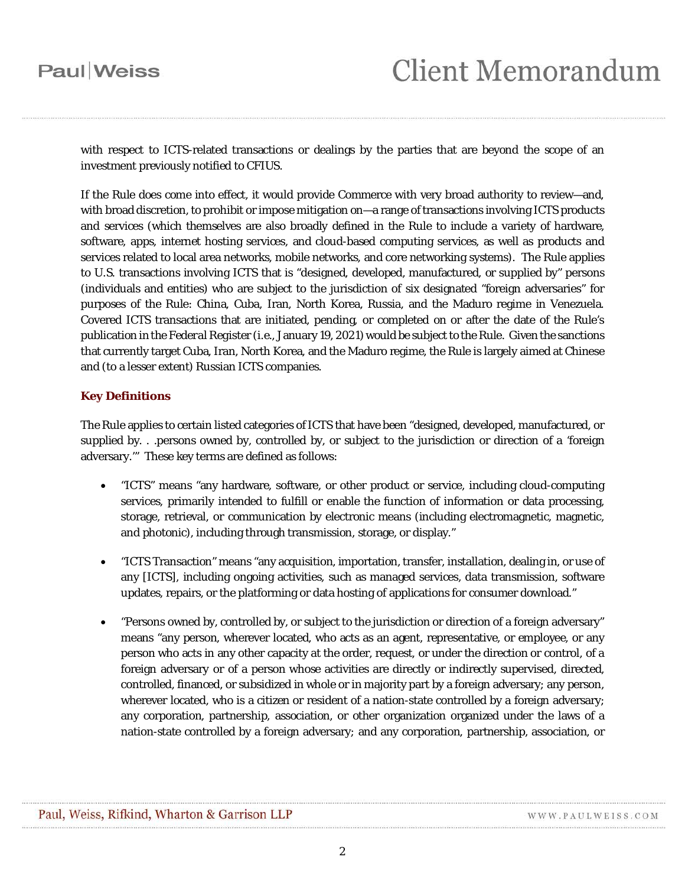with respect to ICTS-related transactions or dealings by the parties that are beyond the scope of an investment previously notified to CFIUS.

If the Rule does come into effect, it would provide Commerce with very broad authority to review—and, with broad discretion, to prohibit or impose mitigation on—a range of transactions involving ICTS products and services (which themselves are also broadly defined in the Rule to include a variety of hardware, software, apps, internet hosting services, and cloud-based computing services, as well as products and services related to local area networks, mobile networks, and core networking systems). The Rule applies to U.S. transactions involving ICTS that is "designed, developed, manufactured, or supplied by" persons (individuals and entities) who are subject to the jurisdiction of six designated "foreign adversaries" for purposes of the Rule: China, Cuba, Iran, North Korea, Russia, and the Maduro regime in Venezuela. Covered ICTS transactions that are initiated, pending, or completed on or after the date of the Rule's publication in the *Federal Register* (*i.e.*, January 19, 2021) would be subject to the Rule. Given the sanctions that currently target Cuba, Iran, North Korea, and the Maduro regime, the Rule is largely aimed at Chinese and (to a lesser extent) Russian ICTS companies.

### **Key Definitions**

The Rule applies to certain listed categories of ICTS that have been "designed, developed, manufactured, or supplied by. . .persons owned by, controlled by, or subject to the jurisdiction or direction of a 'foreign adversary.'" These key terms are defined as follows:

- "ICTS" means "any hardware, software, or other product or service, including cloud-computing services, primarily intended to fulfill or enable the function of information or data processing, storage, retrieval, or communication by electronic means (including electromagnetic, magnetic, and photonic), including through transmission, storage, or display."
- "ICTS Transaction" means "any acquisition, importation, transfer, installation, dealing in, or use of any [ICTS], including ongoing activities, such as managed services, data transmission, software updates, repairs, or the platforming or data hosting of applications for consumer download."
- "Persons owned by, controlled by, or subject to the jurisdiction or direction of a foreign adversary" means "any person, wherever located, who acts as an agent, representative, or employee, or any person who acts in any other capacity at the order, request, or under the direction or control, of a foreign adversary or of a person whose activities are directly or indirectly supervised, directed, controlled, financed, or subsidized in whole or in majority part by a foreign adversary; any person, wherever located, who is a citizen or resident of a nation-state controlled by a foreign adversary; any corporation, partnership, association, or other organization organized under the laws of a nation-state controlled by a foreign adversary; and any corporation, partnership, association, or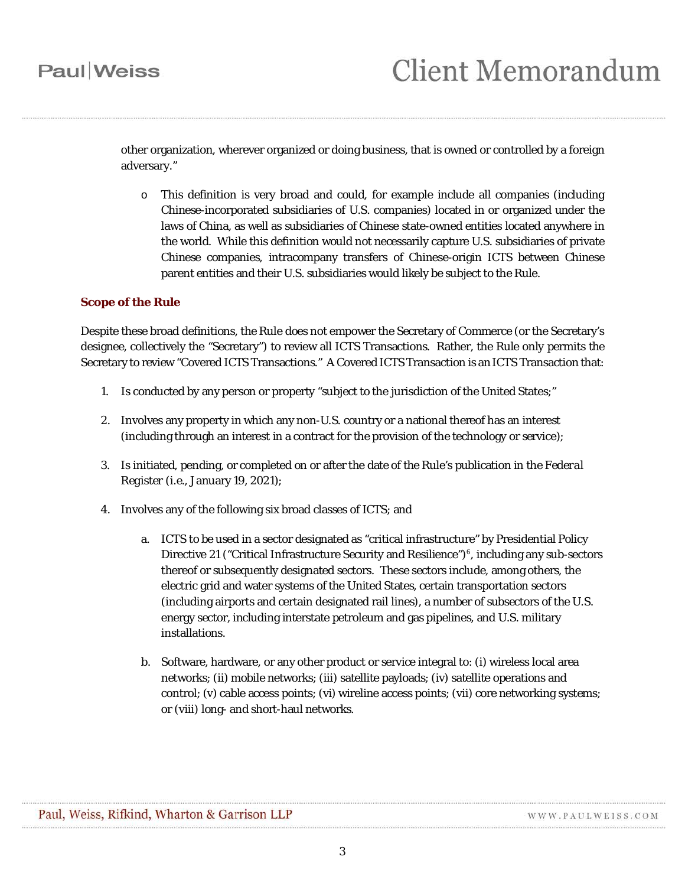other organization, wherever organized or doing business, that is owned or controlled by a foreign adversary."

o This definition is very broad and could, for example include all companies (including Chinese-incorporated subsidiaries of U.S. companies) located in or organized under the laws of China, as well as subsidiaries of Chinese state-owned entities located anywhere in the world. While this definition would not necessarily capture U.S. subsidiaries of private Chinese companies, intracompany transfers of Chinese-origin ICTS between Chinese parent entities and their U.S. subsidiaries would likely be subject to the Rule.

#### **Scope of the Rule**

Despite these broad definitions, the Rule does not empower the Secretary of Commerce (or the Secretary's designee, collectively the "Secretary") to review all ICTS Transactions. Rather, the Rule only permits the Secretary to review "Covered ICTS Transactions." A Covered ICTS Transaction is an ICTS Transaction that:

- 1. Is conducted by any person or property "subject to the jurisdiction of the United States;"
- 2. Involves any property in which any non-U.S. country or a national thereof has an interest (including through an interest in a contract for the provision of the technology or service);
- 3. Is initiated, pending, or completed on or after the date of the Rule's publication in the *Federal Register* (*i.e.*, January 19, 2021);
- 4. Involves any of the following six broad classes of ICTS; and
	- a. ICTS to be used in a sector designated as "critical infrastructure" by Presidential Policy Directive 21 ("Critical Infrastructure Security and Resilience")<sup>[6](#page-9-5)</sup>, including any sub-sectors thereof or subsequently designated sectors. These sectors include, among others, the electric grid and water systems of the United States, certain transportation sectors (including airports and certain designated rail lines), a number of subsectors of the U.S. energy sector, including interstate petroleum and gas pipelines, and U.S. military **installations**
	- b. Software, hardware, or any other product or service integral to: (i) wireless local area networks; (ii) mobile networks; (iii) satellite payloads; (iv) satellite operations and control; (v) cable access points; (vi) wireline access points; (vii) core networking systems; or (viii) long- and short-haul networks.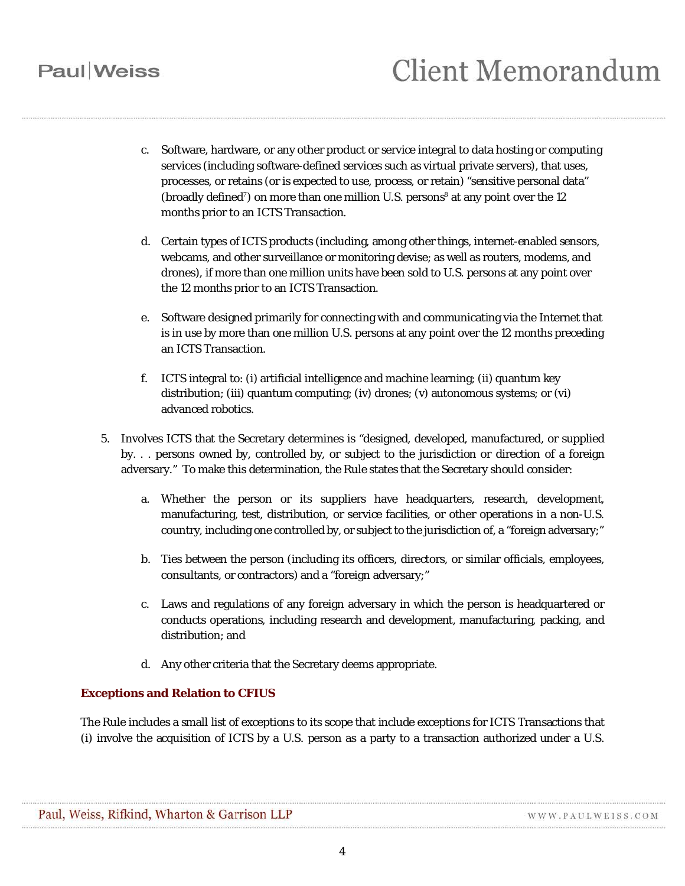- c. Software, hardware, or any other product or service integral to data hosting or computing services (including software-defined services such as virtual private servers), that uses, processes, or retains (or is expected to use, process, or retain) "sensitive personal data" (broadly defined<sup>[7](#page-9-6)</sup>) on more than one million U.S. persons<sup>[8](#page-10-0)</sup> at any point over the 12 months prior to an ICTS Transaction.
- d. Certain types of ICTS products (including, among other things, internet-enabled sensors, webcams, and other surveillance or monitoring devise; as well as routers, modems, and drones), if more than one million units have been sold to U.S. persons at any point over the 12 months prior to an ICTS Transaction.
- e. Software designed primarily for connecting with and communicating via the Internet that is in use by more than one million U.S. persons at any point over the 12 months preceding an ICTS Transaction.
- f. ICTS integral to: (i) artificial intelligence and machine learning; (ii) quantum key distribution; (iii) quantum computing; (iv) drones; (v) autonomous systems; or (vi) advanced robotics.
- 5. Involves ICTS that the Secretary determines is "designed, developed, manufactured, or supplied by. . . persons owned by, controlled by, or subject to the jurisdiction or direction of a foreign adversary." To make this determination, the Rule states that the Secretary should consider:
	- a. Whether the person or its suppliers have headquarters, research, development, manufacturing, test, distribution, or service facilities, or other operations in a non-U.S. country, including one controlled by, or subject to the jurisdiction of, a "foreign adversary;"
	- b. Ties between the person (including its officers, directors, or similar officials, employees, consultants, or contractors) and a "foreign adversary;"
	- c. Laws and regulations of any foreign adversary in which the person is headquartered or conducts operations, including research and development, manufacturing, packing, and distribution; and
	- d. Any other criteria that the Secretary deems appropriate.

### **Exceptions and Relation to CFIUS**

The Rule includes a small list of exceptions to its scope that include exceptions for ICTS Transactions that (i) involve the acquisition of ICTS by a U.S. person as a party to a transaction authorized under a U.S.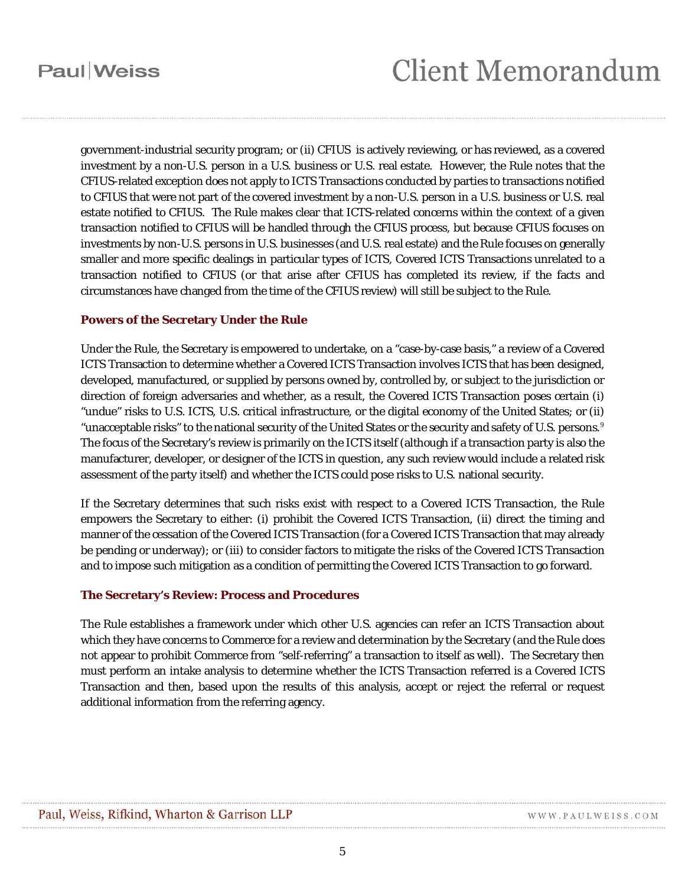government-industrial security program; or (ii) CFIUS is actively reviewing, or has reviewed, as a covered investment by a non-U.S. person in a U.S. business or U.S. real estate. However, the Rule notes that the CFIUS-related exception does not apply to ICTS Transactions conducted by parties to transactions notified to CFIUS that were not part of the covered investment by a non-U.S. person in a U.S. business or U.S. real estate notified to CFIUS. The Rule makes clear that ICTS-related concerns within the context of a given transaction notified to CFIUS will be handled through the CFIUS process, but because CFIUS focuses on investments by non-U.S. persons in U.S. businesses (and U.S. real estate) and the Rule focuses on generally smaller and more specific dealings in particular types of ICTS, Covered ICTS Transactions unrelated to a transaction notified to CFIUS (or that arise after CFIUS has completed its review, if the facts and circumstances have changed from the time of the CFIUS review) will still be subject to the Rule.

#### **Powers of the Secretary Under the Rule**

Under the Rule, the Secretary is empowered to undertake, on a "case-by-case basis," a review of a Covered ICTS Transaction to determine whether a Covered ICTS Transaction involves ICTS that has been designed, developed, manufactured, or supplied by persons owned by, controlled by, or subject to the jurisdiction or direction of foreign adversaries and whether, as a result, the Covered ICTS Transaction poses certain (i) "undue" risks to U.S. ICTS, U.S. critical infrastructure, or the digital economy of the United States; or (ii) "unacceptable risks" to the national security of the United States or the security and safety of U.S. persons.  $9$ The focus of the Secretary's review is primarily on the ICTS itself (although if a transaction party is also the manufacturer, developer, or designer of the ICTS in question, any such review would include a related risk assessment of the party itself) and whether the ICTS could pose risks to U.S. national security.

If the Secretary determines that such risks exist with respect to a Covered ICTS Transaction, the Rule empowers the Secretary to either: (i) prohibit the Covered ICTS Transaction, (ii) direct the timing and manner of the cessation of the Covered ICTS Transaction (for a Covered ICTS Transaction that may already be pending or underway); or (iii) to consider factors to mitigate the risks of the Covered ICTS Transaction and to impose such mitigation as a condition of permitting the Covered ICTS Transaction to go forward.

#### **The Secretary's Review: Process and Procedures**

The Rule establishes a framework under which other U.S. agencies can refer an ICTS Transaction about which they have concerns to Commerce for a review and determination by the Secretary (and the Rule does not appear to prohibit Commerce from "self-referring" a transaction to itself as well). The Secretary then must perform an intake analysis to determine whether the ICTS Transaction referred is a Covered ICTS Transaction and then, based upon the results of this analysis, accept or reject the referral or request additional information from the referring agency.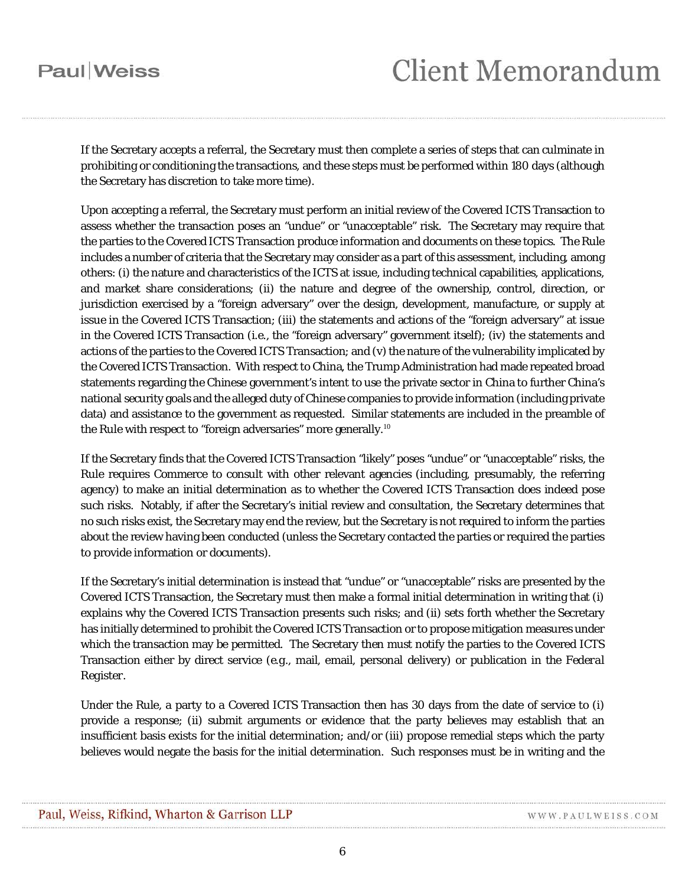# **Client Memorandum**

If the Secretary accepts a referral, the Secretary must then complete a series of steps that can culminate in prohibiting or conditioning the transactions, and these steps must be performed within 180 days (although the Secretary has discretion to take more time).

Upon accepting a referral, the Secretary must perform an initial review of the Covered ICTS Transaction to assess whether the transaction poses an "undue" or "unacceptable" risk. The Secretary may require that the parties to the Covered ICTS Transaction produce information and documents on these topics. The Rule includes a number of criteria that the Secretary may consider as a part of this assessment, including, among others: (i) the nature and characteristics of the ICTS at issue, including technical capabilities, applications, and market share considerations; (ii) the nature and degree of the ownership, control, direction, or jurisdiction exercised by a "foreign adversary" over the design, development, manufacture, or supply at issue in the Covered ICTS Transaction; (iii) the statements and actions of the "foreign adversary" at issue in the Covered ICTS Transaction (*i.e.*, the "foreign adversary" government itself); (iv) the statements and actions of the parties to the Covered ICTS Transaction; and (v) the nature of the vulnerability implicated by the Covered ICTS Transaction. With respect to China, the Trump Administration had made repeated broad statements regarding the Chinese government's intent to use the private sector in China to further China's national security goals and the alleged duty of Chinese companies to provide information (including private data) and assistance to the government as requested. Similar statements are included in the preamble of the Rule with respect to "foreign adversaries" more generally.<sup>[10](#page-10-2)</sup>

If the Secretary finds that the Covered ICTS Transaction "likely" poses "undue" or "unacceptable" risks, the Rule requires Commerce to consult with other relevant agencies (including, presumably, the referring agency) to make an initial determination as to whether the Covered ICTS Transaction does indeed pose such risks. Notably, if after the Secretary's initial review and consultation, the Secretary determines that no such risks exist, the Secretary may end the review, but the Secretary is not required to inform the parties about the review having been conducted (unless the Secretary contacted the parties or required the parties to provide information or documents).

If the Secretary's initial determination is instead that "undue" or "unacceptable" risks are presented by the Covered ICTS Transaction, the Secretary must then make a formal initial determination in writing that (i) explains why the Covered ICTS Transaction presents such risks; and (ii) sets forth whether the Secretary has initially determined to prohibit the Covered ICTS Transaction or to propose mitigation measures under which the transaction may be permitted. The Secretary then must notify the parties to the Covered ICTS Transaction either by direct service (*e.g.*, mail, email, personal delivery) or publication in the *Federal Register*.

Under the Rule, a party to a Covered ICTS Transaction then has 30 days from the date of service to (i) provide a response; (ii) submit arguments or evidence that the party believes may establish that an insufficient basis exists for the initial determination; and/or (iii) propose remedial steps which the party believes would negate the basis for the initial determination. Such responses must be in writing and the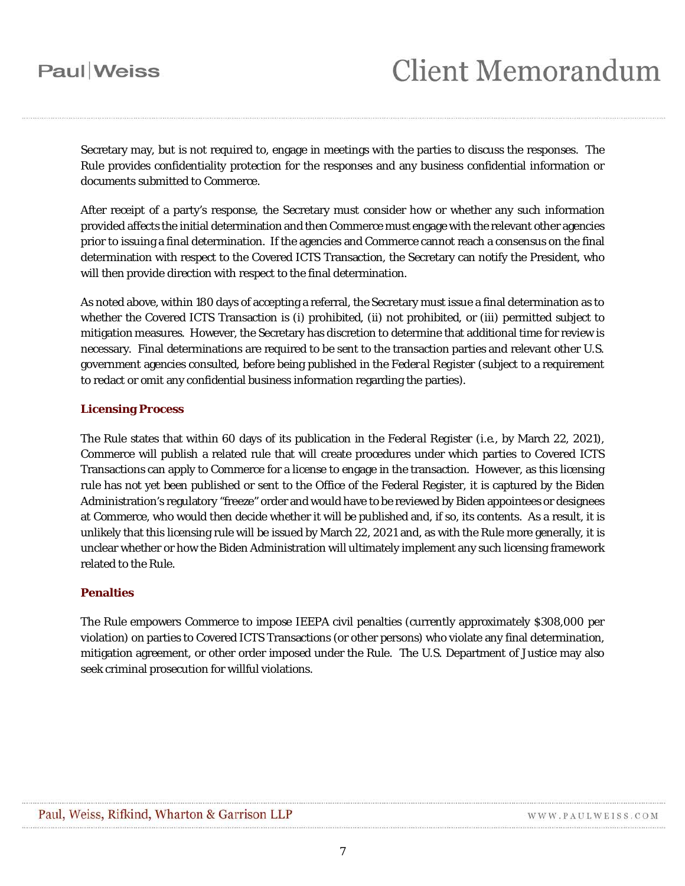# **Client Memorandum**

Secretary may, but is not required to, engage in meetings with the parties to discuss the responses. The Rule provides confidentiality protection for the responses and any business confidential information or documents submitted to Commerce.

After receipt of a party's response, the Secretary must consider how or whether any such information provided affects the initial determination and then Commerce must engage with the relevant other agencies prior to issuing a final determination. If the agencies and Commerce cannot reach a consensus on the final determination with respect to the Covered ICTS Transaction, the Secretary can notify the President, who will then provide direction with respect to the final determination.

As noted above, within 180 days of accepting a referral, the Secretary must issue a final determination as to whether the Covered ICTS Transaction is (i) prohibited, (ii) not prohibited, or (iii) permitted subject to mitigation measures. However, the Secretary has discretion to determine that additional time for review is necessary. Final determinations are required to be sent to the transaction parties and relevant other U.S. government agencies consulted, before being published in the *Federal Register* (subject to a requirement to redact or omit any confidential business information regarding the parties).

#### **Licensing Process**

The Rule states that within 60 days of its publication in the *Federal Register* (*i.e.*, by March 22, 2021), Commerce will publish a related rule that will create procedures under which parties to Covered ICTS Transactions can apply to Commerce for a license to engage in the transaction. However, as this licensing rule has not yet been published or sent to the Office of the Federal Register, it is captured by the Biden Administration's regulatory "freeze" order and would have to be reviewed by Biden appointees or designees at Commerce, who would then decide whether it will be published and, if so, its contents. As a result, it is unlikely that this licensing rule will be issued by March 22, 2021 and, as with the Rule more generally, it is unclear whether or how the Biden Administration will ultimately implement any such licensing framework related to the Rule.

#### **Penalties**

The Rule empowers Commerce to impose IEEPA civil penalties (currently approximately \$308,000 per violation) on parties to Covered ICTS Transactions (or other persons) who violate any final determination, mitigation agreement, or other order imposed under the Rule. The U.S. Department of Justice may also seek criminal prosecution for willful violations.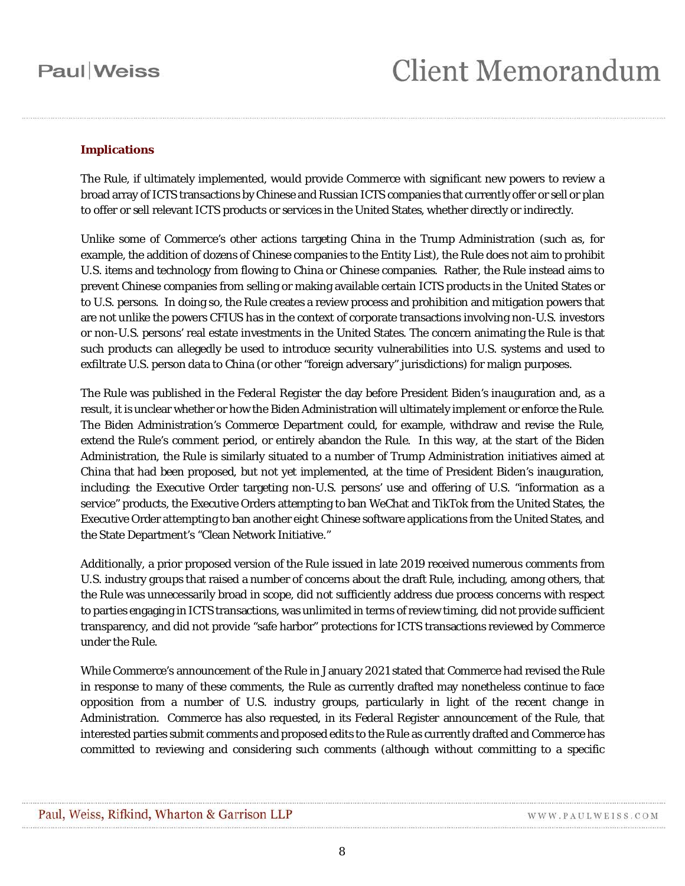### **Implications**

The Rule, if ultimately implemented, would provide Commerce with significant new powers to review a broad array of ICTS transactions by Chinese and Russian ICTS companies that currently offer or sell or plan to offer or sell relevant ICTS products or services in the United States, whether directly or indirectly.

Unlike some of Commerce's other actions targeting China in the Trump Administration (such as, for example, the addition of dozens of Chinese companies to the Entity List), the Rule does not aim to prohibit U.S. items and technology from flowing to China or Chinese companies. Rather, the Rule instead aims to prevent Chinese companies from selling or making available certain ICTS products in the United States or to U.S. persons. In doing so, the Rule creates a review process and prohibition and mitigation powers that are not unlike the powers CFIUS has in the context of corporate transactions involving non-U.S. investors or non-U.S. persons' real estate investments in the United States. The concern animating the Rule is that such products can allegedly be used to introduce security vulnerabilities into U.S. systems and used to exfiltrate U.S. person data to China (or other "foreign adversary" jurisdictions) for malign purposes.

The Rule was published in the *Federal Register* the day before President Biden's inauguration and, as a result, it is unclear whether or how the Biden Administration will ultimately implement or enforce the Rule. The Biden Administration's Commerce Department could, for example, withdraw and revise the Rule, extend the Rule's comment period, or entirely abandon the Rule. In this way, at the start of the Biden Administration, the Rule is similarly situated to a number of Trump Administration initiatives aimed at China that had been proposed, but not yet implemented, at the time of President Biden's inauguration, including: the Executive Order targeting non-U.S. persons' use and offering of U.S. "information as a service" products, the Executive Orders attempting to ban WeChat and TikTok from the United States, the Executive Order attempting to ban another eight Chinese software applications from the United States, and the State Department's "Clean Network Initiative."

Additionally, a prior proposed version of the Rule issued in late 2019 received numerous comments from U.S. industry groups that raised a number of concerns about the draft Rule, including, among others, that the Rule was unnecessarily broad in scope, did not sufficiently address due process concerns with respect to parties engaging in ICTS transactions, was unlimited in terms of review timing, did not provide sufficient transparency, and did not provide "safe harbor" protections for ICTS transactions reviewed by Commerce under the Rule.

While Commerce's announcement of the Rule in January 2021 stated that Commerce had revised the Rule in response to many of these comments, the Rule as currently drafted may nonetheless continue to face opposition from a number of U.S. industry groups, particularly in light of the recent change in Administration. Commerce has also requested, in its *Federal Register* announcement of the Rule, that interested parties submit comments and proposed edits to the Rule as currently drafted and Commerce has committed to reviewing and considering such comments (although without committing to a specific

WWW.PAULWEISS.COM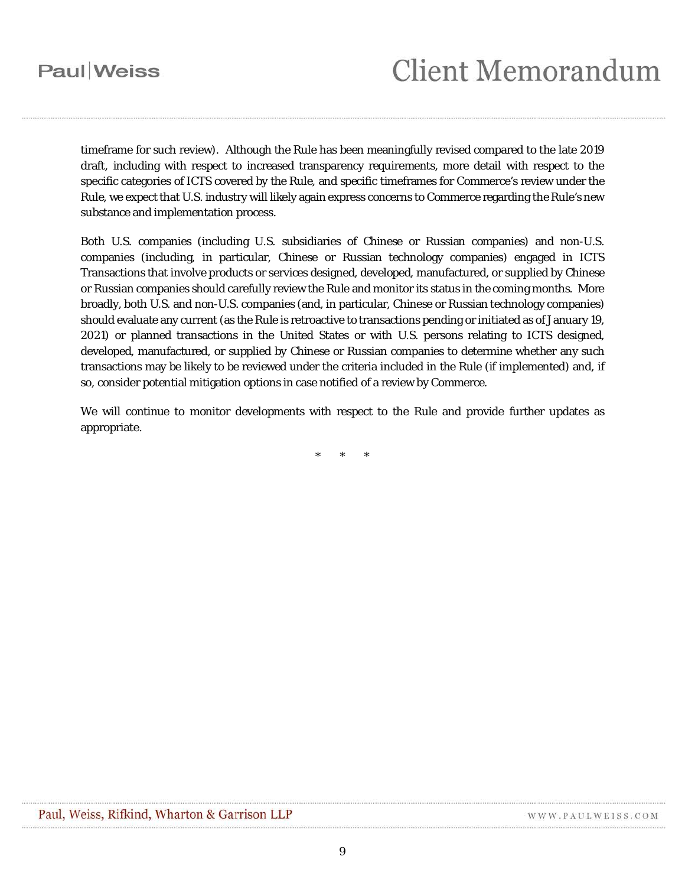timeframe for such review). Although the Rule has been meaningfully revised compared to the late 2019 draft, including with respect to increased transparency requirements, more detail with respect to the specific categories of ICTS covered by the Rule, and specific timeframes for Commerce's review under the Rule, we expect that U.S. industry will likely again express concerns to Commerce regarding the Rule's new substance and implementation process.

Both U.S. companies (including U.S. subsidiaries of Chinese or Russian companies) and non-U.S. companies (including, in particular, Chinese or Russian technology companies) engaged in ICTS Transactions that involve products or services designed, developed, manufactured, or supplied by Chinese or Russian companies should carefully review the Rule and monitor its status in the coming months. More broadly, both U.S. and non-U.S. companies (and, in particular, Chinese or Russian technology companies) should evaluate any current (as the Rule is retroactive to transactions pending or initiated as of January 19, 2021) or planned transactions in the United States or with U.S. persons relating to ICTS designed, developed, manufactured, or supplied by Chinese or Russian companies to determine whether any such transactions may be likely to be reviewed under the criteria included in the Rule (if implemented) and, if so, consider potential mitigation options in case notified of a review by Commerce.

We will continue to monitor developments with respect to the Rule and provide further updates as appropriate.

\* \* \*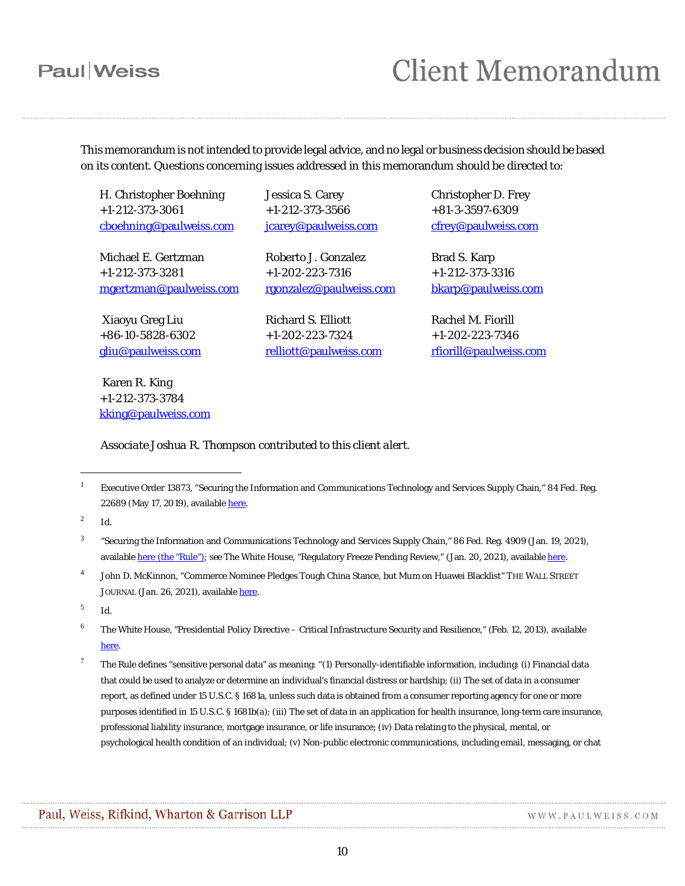## **Client Memorandum**

This memorandum is not intended to provide legal advice, and no legal or business decision should be based on its content. Questions concerning issues addressed in this memorandum should be directed to:

H. Christopher Boehning +1-212-373-3061 [cboehning@paulweiss.com](mailto:cboehning@paulweiss.com)

Michael E. Gertzman +1-212-373-3281 [mgertzman@paulweiss.com](mailto:mgertzman@paulweiss.com)

Xiaoyu Greg Liu +86-10-5828-6302 [gliu@paulweiss.com](mailto:gliu@paulweiss.com)

Karen R. King +1-212-373-3784 [kking@paulweiss.com](mailto:kking@paulweiss.com) Jessica S. Carey +1-212-373-3566 [jcarey@paulweiss.com](mailto:jcarey@paulweiss.com)

Roberto J. Gonzalez +1-202-223-7316 [rgonzalez@paulweiss.com](mailto:rgonzalez@paulweiss.com)

Richard S. Elliott +1-202-223-7324 [relliott@paulweiss.com](mailto:relliott@paulweiss.com) Christopher D. Frey +81-3-3597-6309 [cfrey@paulweiss.com](mailto:cfrey@paulweiss.com)

Brad S. Karp +1-212-373-3316 [bkarp@paulweiss.com](mailto:bkarp@paulweiss.com)

Rachel M. Fiorill +1-202-223-7346 [rfiorill@paulweiss.com](mailto:rfiorill@paulweiss.com)

*Associate Joshua R. Thompson contributed to this client alert.*

<span id="page-9-1"></span><sup>2</sup> *Id*.

 $\overline{a}$ 

<span id="page-9-4"></span><sup>5</sup> *Id*.

- <span id="page-9-5"></span><sup>6</sup> The White House, "Presidential Policy Directive – Critical Infrastructure Security and Resilience," (Feb. 12, 2013), available [here.](https://obamawhitehouse.archives.gov/the-press-office/2013/02/12/presidential-policy-directive-critical-infrastructure-security-and-resil)
- <span id="page-9-6"></span><sup>7</sup> The Rule defines "sensitive personal data" as meaning: "(1) Personally-identifiable information, including: (i) Financial data that could be used to analyze or determine an individual's financial distress or hardship; (ii) The set of data in a consumer report, as defined under 15 U.S.C. § 1681a, unless such data is obtained from a consumer reporting agency for one or more purposes identified in 15 U.S.C. § 1681b(a); (iii) The set of data in an application for health insurance, long-term care insurance, professional liability insurance, mortgage insurance, or life insurance; (iv) Data relating to the physical, mental, or psychological health condition of an individual; (v) Non-public electronic communications, including email, messaging, or chat

WWW.PAULWEISS.COM

<span id="page-9-0"></span><sup>1</sup> Executive Order 13873, "Securing the Information and Communications Technology and Services Supply Chain," 84 Fed. Reg. 22689 (May 17, 2019), available [here.](https://www.govinfo.gov/content/pkg/FR-2019-05-17/pdf/2019-10538.pdf)

<span id="page-9-2"></span><sup>&</sup>lt;sup>3</sup> "Securing the Information and Communications Technology and Services Supply Chain," 86 Fed. Reg. 4909 (Jan. 19, 2021), available [here](https://www.govinfo.gov/content/pkg/FR-2021-01-19/pdf/2021-01234.pdf) (the "Rule"); *see* The White House, "Regulatory Freeze Pending Review," (Jan. 20, 2021), available [here.](https://www.whitehouse.gov/briefing-room/presidential-actions/2021/01/20/regulatory-freeze-pending-review/)

<span id="page-9-3"></span><sup>4</sup> John D. McKinnon, "Commerce Nominee Pledges Tough China Stance, but Mum on Huawei Blacklist" THE WALL STREET JOURNAL (Jan. 26, 2021), available [here.](https://www.wsj.com/articles/commerce-nominee-pledges-tough-china-stance-but-mum-on-huawei-blacklist-11611692857)